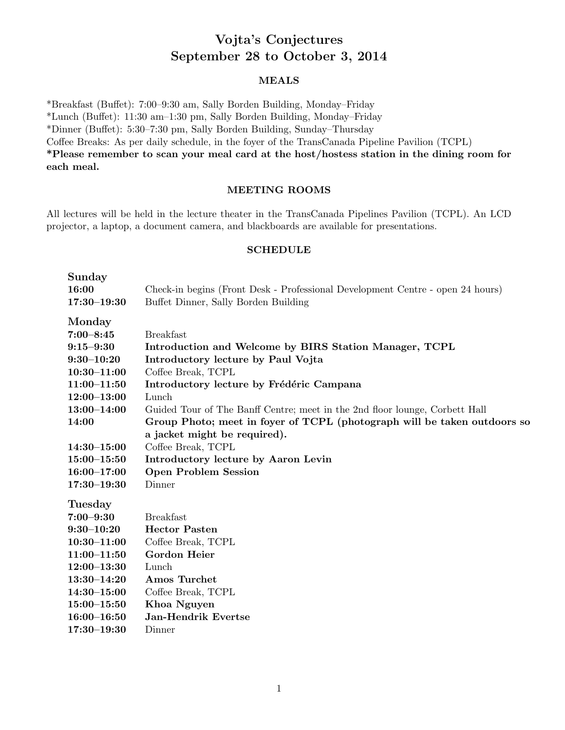# Vojta's Conjectures September 28 to October 3, 2014

## MEALS

\*Breakfast (Buffet): 7:00-9:30 am, Sally Borden Building, Monday-Friday

\*Lunch (Bu↵et): 11:30 am–1:30 pm, Sally Borden Building, Monday–Friday

\*Dinner (Bu↵et): 5:30–7:30 pm, Sally Borden Building, Sunday–Thursday

Coffee Breaks: As per daily schedule, in the foyer of the TransCanada Pipeline Pavilion (TCPL)

\*Please remember to scan your meal card at the host/hostess station in the dining room for each meal.

## MEETING ROOMS

All lectures will be held in the lecture theater in the TransCanada Pipelines Pavilion (TCPL). An LCD projector, a laptop, a document camera, and blackboards are available for presentations.

### **SCHEDULE**

| Sunday<br>16:00<br>$17:30 - 19:30$ | Check-in begins (Front Desk - Professional Development Centre - open 24 hours)<br>Buffet Dinner, Sally Borden Building |  |
|------------------------------------|------------------------------------------------------------------------------------------------------------------------|--|
| Monday                             |                                                                                                                        |  |
| $7:00 - 8:45$                      | <b>Breakfast</b>                                                                                                       |  |
| $9:15 - 9:30$                      | Introduction and Welcome by BIRS Station Manager, TCPL                                                                 |  |
| $9:30 - 10:20$                     | Introductory lecture by Paul Vojta                                                                                     |  |
| $10:30 - 11:00$                    | Coffee Break, TCPL                                                                                                     |  |
| $11:00 - 11:50$                    | Introductory lecture by Frédéric Campana                                                                               |  |
| $12:00 - 13:00$                    | Lunch                                                                                                                  |  |
| $13:00 - 14:00$                    | Guided Tour of The Banff Centre; meet in the 2nd floor lounge, Corbett Hall                                            |  |
| 14:00                              | Group Photo; meet in foyer of TCPL (photograph will be taken outdoors so                                               |  |
|                                    | a jacket might be required).                                                                                           |  |
| $14:30 - 15:00$                    | Coffee Break, TCPL                                                                                                     |  |
| $15:00 - 15:50$                    | Introductory lecture by Aaron Levin                                                                                    |  |
| $16:00 - 17:00$                    | <b>Open Problem Session</b>                                                                                            |  |
| $17:30 - 19:30$                    | Dinner                                                                                                                 |  |
| <b>Tuesday</b>                     |                                                                                                                        |  |
| $7:00 - 9:30$                      | <b>Breakfast</b>                                                                                                       |  |
| $9:30 - 10:20$                     | <b>Hector Pasten</b>                                                                                                   |  |
| $10:30 - 11:00$                    | Coffee Break, TCPL                                                                                                     |  |
| $11:00 - 11:50$                    | <b>Gordon Heier</b>                                                                                                    |  |
| $12:00 - 13:30$                    | Lunch                                                                                                                  |  |
| $13:30 - 14:20$                    | Amos Turchet                                                                                                           |  |
| $14:30 - 15:00$                    | Coffee Break, TCPL                                                                                                     |  |
| $15:00 - 15:50$                    | Khoa Nguyen                                                                                                            |  |
| $16:00 - 16:50$                    | <b>Jan-Hendrik Evertse</b>                                                                                             |  |
| $17:30 - 19:30$                    | Dinner                                                                                                                 |  |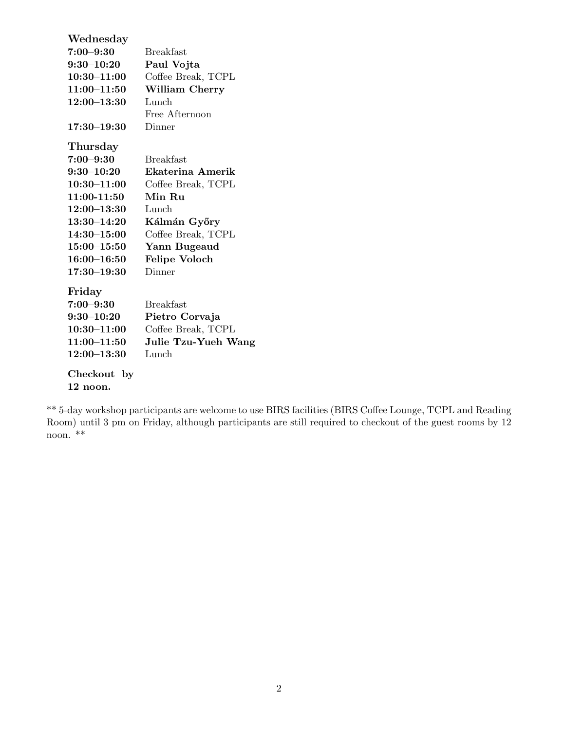| Wednesday       |                      |  |
|-----------------|----------------------|--|
| $7:00 - 9:30$   | <b>Breakfast</b>     |  |
| $9:30 - 10:20$  | Paul Vojta           |  |
| $10:30 - 11:00$ | Coffee Break, TCPL   |  |
| $11:00 - 11:50$ | William Cherry       |  |
| $12:00 - 13:30$ | Lunch                |  |
|                 | Free Afternoon       |  |
| $17:30 - 19:30$ | Dinner               |  |
| Thursday        |                      |  |
| $7:00 - 9:30$   | <b>Breakfast</b>     |  |
| $9:30 - 10:20$  | Ekaterina Amerik     |  |
| $10:30 - 11:00$ | Coffee Break, TCPL   |  |
| 11:00-11:50     | Min Ru               |  |
| $12:00 - 13:30$ | Lunch                |  |
| $13:30 - 14:20$ | Kálmán Győry         |  |
| $14:30 - 15:00$ | Coffee Break, TCPL   |  |
| $15:00 - 15:50$ | Yann Bugeaud         |  |
| $16:00 - 16:50$ | <b>Felipe Voloch</b> |  |
| $17:30 - 19:30$ | Dinner               |  |
| Friday          |                      |  |
| $7:00 - 9:30$   | <b>Breakfast</b>     |  |
| $9:30 - 10:20$  | Pietro Corvaja       |  |
| $10:30 - 11:00$ | Coffee Break, TCPL   |  |
| $11:00 - 11:50$ | Julie Tzu-Yueh Wang  |  |
| $12:00 - 13:30$ | Lunch                |  |
| Checkout<br>by  |                      |  |
| 12 noon.        |                      |  |

\*\* 5-day workshop participants are welcome to use BIRS facilities (BIRS Coffee Lounge, TCPL and Reading Room) until 3 pm on Friday, although participants are still required to checkout of the guest rooms by 12 noon. \*\*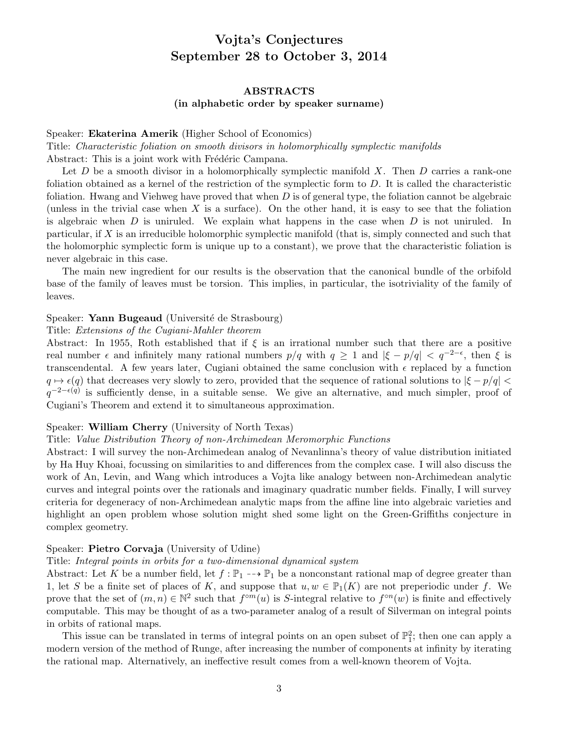# Vojta's Conjectures September 28 to October 3, 2014

# ABSTRACTS

(in alphabetic order by speaker surname)

Speaker: Ekaterina Amerik (Higher School of Economics)

Title: *Characteristic foliation on smooth divisors in holomorphically symplectic manifolds* Abstract: This is a joint work with Frédéric Campana.

Let *D* be a smooth divisor in a holomorphically symplectic manifold *X*. Then *D* carries a rank-one foliation obtained as a kernel of the restriction of the symplectic form to *D*. It is called the characteristic foliation. Hwang and Viehweg have proved that when *D* is of general type, the foliation cannot be algebraic (unless in the trivial case when *X* is a surface). On the other hand, it is easy to see that the foliation is algebraic when *D* is uniruled. We explain what happens in the case when *D* is not uniruled. In particular, if *X* is an irreducible holomorphic symplectic manifold (that is, simply connected and such that the holomorphic symplectic form is unique up to a constant), we prove that the characteristic foliation is never algebraic in this case.

The main new ingredient for our results is the observation that the canonical bundle of the orbifold base of the family of leaves must be torsion. This implies, in particular, the isotriviality of the family of leaves.

## Speaker: Yann Bugeaud (Université de Strasbourg)

#### Title: *Extensions of the Cugiani-Mahler theorem*

Abstract: In 1955, Roth established that if  $\xi$  is an irrational number such that there are a positive real number  $\epsilon$  and infinitely many rational numbers  $p/q$  with  $q \ge 1$  and  $|\xi - p/q| < q^{-2-\epsilon}$ , then  $\xi$  is transcendental. A few years later, Cugiani obtained the same conclusion with  $\epsilon$  replaced by a function  $q \mapsto \epsilon(q)$  that decreases very slowly to zero, provided that the sequence of rational solutions to  $|\xi - p/q|$  $q^{-2-\epsilon(q)}$  is sufficiently dense, in a suitable sense. We give an alternative, and much simpler, proof of Cugiani's Theorem and extend it to simultaneous approximation.

## Speaker: William Cherry (University of North Texas)

#### Title: *Value Distribution Theory of non-Archimedean Meromorphic Functions*

Abstract: I will survey the non-Archimedean analog of Nevanlinna's theory of value distribution initiated by Ha Huy Khoai, focussing on similarities to and differences from the complex case. I will also discuss the work of An, Levin, and Wang which introduces a Vojta like analogy between non-Archimedean analytic curves and integral points over the rationals and imaginary quadratic number fields. Finally, I will survey criteria for degeneracy of non-Archimedean analytic maps from the affine line into algebraic varieties and highlight an open problem whose solution might shed some light on the Green-Griffiths conjecture in complex geometry.

## Speaker: Pietro Corvaja (University of Udine)

#### Title: *Integral points in orbits for a two-dimensional dynamical system*

Abstract: Let K be a number field, let  $f : \mathbb{P}_1 \dashrightarrow \mathbb{P}_1$  be a nonconstant rational map of degree greater than 1, let *S* be a finite set of places of *K*, and suppose that  $u, w \in \mathbb{P}_1(K)$  are not preperiodic under *f*. We prove that the set of  $(m, n) \in \mathbb{N}^2$  such that  $f^{\circ m}(u)$  is *S*-integral relative to  $f^{\circ n}(w)$  is finite and effectively computable. This may be thought of as a two-parameter analog of a result of Silverman on integral points in orbits of rational maps.

This issue can be translated in terms of integral points on an open subset of  $\mathbb{P}^2$ ; then one can apply a modern version of the method of Runge, after increasing the number of components at infinity by iterating the rational map. Alternatively, an ineffective result comes from a well-known theorem of Vojta.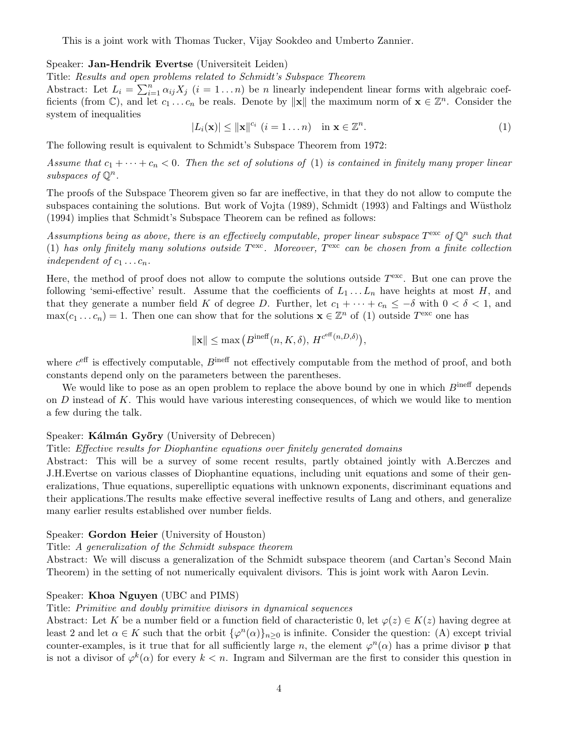This is a joint work with Thomas Tucker, Vijay Sookdeo and Umberto Zannier.

### Speaker: Jan-Hendrik Evertse (Universiteit Leiden)

Title: *Results and open problems related to Schmidt's Subspace Theorem*

Abstract: Let  $L_i = \sum_{i=1}^n \alpha_{ij} X_j$  (*i* = 1...*n*) be *n* linearly independent linear forms with algebraic coefficients (from  $\mathbb{C}$ ), and let  $c_1 \ldots c_n$  be reals. Denote by  $\|\mathbf{x}\|$  the maximum norm of  $\mathbf{x} \in \mathbb{Z}^n$ . Consider the system of inequalities

$$
|L_i(\mathbf{x})| \le ||\mathbf{x}||^{c_i} \ (i=1 \dots n) \quad \text{in } \mathbf{x} \in \mathbb{Z}^n. \tag{1}
$$

The following result is equivalent to Schmidt's Subspace Theorem from 1972:

*Assume that*  $c_1 + \cdots + c_n < 0$ . Then the set of solutions of (1) *is contained in finitely many proper linear subspaces of*  $\mathbb{O}^n$ .

The proofs of the Subspace Theorem given so far are ineffective, in that they do not allow to compute the subspaces containing the solutions. But work of Vojta (1989), Schmidt (1993) and Faltings and Wüstholz (1994) implies that Schmidt's Subspace Theorem can be refined as follows:

*Assumptions being as above, there is an effectively computable, proper linear subspace*  $T^{\text{exc}}$  of  $\mathbb{Q}^n$  such that (1) *has only finitely many solutions outside T*exc*. Moreover, T*exc *can be chosen from a finite collection independent of*  $c_1 \ldots c_n$ *.* 

Here, the method of proof does not allow to compute the solutions outside *T*exc. But one can prove the following 'semi-effective' result. Assume that the coefficients of  $L_1 \ldots L_n$  have heights at most *H*, and that they generate a number field *K* of degree *D*. Further, let  $c_1 + \cdots + c_n \leq -\delta$  with  $0 < \delta < 1$ , and  $\max(c_1 \dots c_n) = 1$ . Then one can show that for the solutions  $\mathbf{x} \in \mathbb{Z}^n$  of (1) outside  $T^{\text{exc}}$  one has

$$
\|\mathbf{x}\| \le \max\left(B^{\text{ineff}}(n, K, \delta), H^{c^{\text{eff}}(n, D, \delta)}\right),\,
$$

where  $c<sup>eff</sup>$  is effectively computable,  $B<sup>ineff</sup>$  not effectively computable from the method of proof, and both constants depend only on the parameters between the parentheses.

We would like to pose as an open problem to replace the above bound by one in which  $B^{\text{ineff}}$  depends on *D* instead of *K*. This would have various interesting consequences, of which we would like to mention a few during the talk.

#### Speaker: Kálmán Győry (University of Debrecen)

#### Title: *Effective results for Diophantine equations over finitely generated domains*

Abstract: This will be a survey of some recent results, partly obtained jointly with A.Berczes and J.H.Evertse on various classes of Diophantine equations, including unit equations and some of their generalizations, Thue equations, superelliptic equations with unknown exponents, discriminant equations and their applications. The results make effective several ineffective results of Lang and others, and generalize many earlier results established over number fields.

#### Speaker: Gordon Heier (University of Houston)

#### Title: *A generalization of the Schmidt subspace theorem*

Abstract: We will discuss a generalization of the Schmidt subspace theorem (and Cartan's Second Main Theorem) in the setting of not numerically equivalent divisors. This is joint work with Aaron Levin.

#### Speaker: Khoa Nguyen (UBC and PIMS)

#### Title: *Primitive and doubly primitive divisors in dynamical sequences*

Abstract: Let K be a number field or a function field of characteristic 0, let  $\varphi(z) \in K(z)$  having degree at least 2 and let  $\alpha \in K$  such that the orbit  $\{\varphi^n(\alpha)\}_{n\geq 0}$  is infinite. Consider the question: (A) except trivial counter-examples, is it true that for all sufficiently large *n*, the element  $\varphi^{n}(\alpha)$  has a prime divisor p that is not a divisor of  $\varphi^k(\alpha)$  for every  $k < n$ . Ingram and Silverman are the first to consider this question in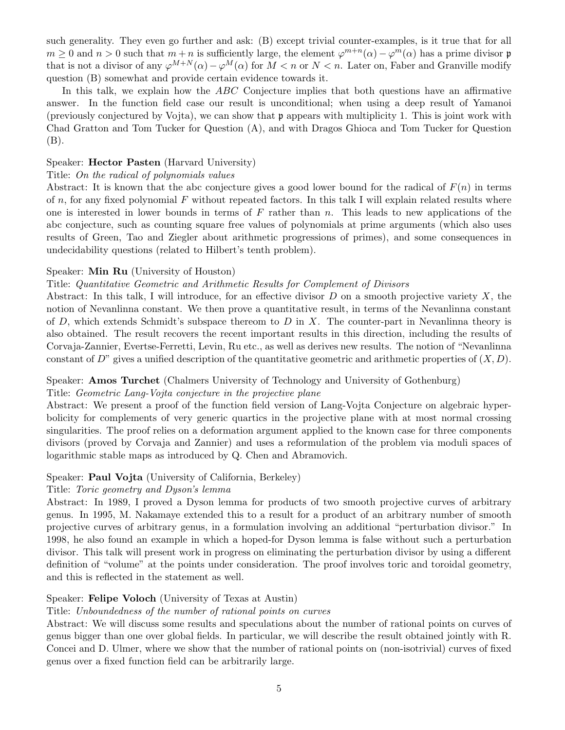such generality. They even go further and ask: (B) except trivial counter-examples, is it true that for all  $m > 0$  and  $n > 0$  such that  $m + n$  is sufficiently large, the element  $\varphi^{m+n}(\alpha) - \varphi^{m}(\alpha)$  has a prime divisor p that is not a divisor of any  $\varphi^{M+N}(\alpha) - \varphi^M(\alpha)$  for  $M < n$  or  $N < n$ . Later on, Faber and Granville modify question (B) somewhat and provide certain evidence towards it.

In this talk, we explain how the *ABC* Conjecture implies that both questions have an affirmative answer. In the function field case our result is unconditional; when using a deep result of Yamanoi (previously conjectured by Vojta), we can show that p appears with multiplicity 1. This is joint work with Chad Gratton and Tom Tucker for Question (A), and with Dragos Ghioca and Tom Tucker for Question (B).

#### Speaker: Hector Pasten (Harvard University)

#### Title: *On the radical of polynomials values*

Abstract: It is known that the abc conjecture gives a good lower bound for the radical of  $F(n)$  in terms of *n*, for any fixed polynomial *F* without repeated factors. In this talk I will explain related results where one is interested in lower bounds in terms of *F* rather than *n*. This leads to new applications of the abc conjecture, such as counting square free values of polynomials at prime arguments (which also uses results of Green, Tao and Ziegler about arithmetic progressions of primes), and some consequences in undecidability questions (related to Hilbert's tenth problem).

#### Speaker: Min Ru (University of Houston)

#### Title: *Quantitative Geometric and Arithmetic Results for Complement of Divisors*

Abstract: In this talk, I will introduce, for an effective divisor  $D$  on a smooth projective variety  $X$ , the notion of Nevanlinna constant. We then prove a quantitative result, in terms of the Nevanlinna constant of *D*, which extends Schmidt's subspace thereom to *D* in *X*. The counter-part in Nevanlinna theory is also obtained. The result recovers the recent important results in this direction, including the results of Corvaja-Zannier, Evertse-Ferretti, Levin, Ru etc., as well as derives new results. The notion of "Nevanlinna constant of *D*" gives a unified description of the quantitative geometric and arithmetic properties of  $(X, D)$ .

## Speaker: Amos Turchet (Chalmers University of Technology and University of Gothenburg)

#### Title: *Geometric Lang-Vojta conjecture in the projective plane*

Abstract: We present a proof of the function field version of Lang-Vojta Conjecture on algebraic hyperbolicity for complements of very generic quartics in the projective plane with at most normal crossing singularities. The proof relies on a deformation argument applied to the known case for three components divisors (proved by Corvaja and Zannier) and uses a reformulation of the problem via moduli spaces of logarithmic stable maps as introduced by Q. Chen and Abramovich.

#### Speaker: Paul Vojta (University of California, Berkeley)

#### Title: *Toric geometry and Dyson's lemma*

Abstract: In 1989, I proved a Dyson lemma for products of two smooth projective curves of arbitrary genus. In 1995, M. Nakamaye extended this to a result for a product of an arbitrary number of smooth projective curves of arbitrary genus, in a formulation involving an additional "perturbation divisor." In 1998, he also found an example in which a hoped-for Dyson lemma is false without such a perturbation divisor. This talk will present work in progress on eliminating the perturbation divisor by using a different definition of "volume" at the points under consideration. The proof involves toric and toroidal geometry, and this is reflected in the statement as well.

#### Speaker: Felipe Voloch (University of Texas at Austin)

#### Title: *Unboundedness of the number of rational points on curves*

Abstract: We will discuss some results and speculations about the number of rational points on curves of genus bigger than one over global fields. In particular, we will describe the result obtained jointly with R. Concei and D. Ulmer, where we show that the number of rational points on (non-isotrivial) curves of fixed genus over a fixed function field can be arbitrarily large.